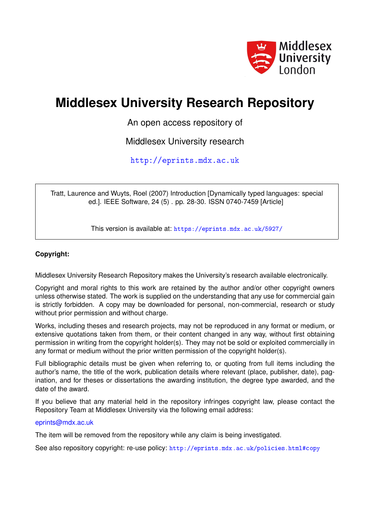

# **Middlesex University Research Repository**

An open access repository of

Middlesex University research

<http://eprints.mdx.ac.uk>

Tratt, Laurence and Wuyts, Roel (2007) Introduction [Dynamically typed languages: special ed.]. IEEE Software, 24 (5) . pp. 28-30. ISSN 0740-7459 [Article]

This version is available at: <https://eprints.mdx.ac.uk/5927/>

# **Copyright:**

Middlesex University Research Repository makes the University's research available electronically.

Copyright and moral rights to this work are retained by the author and/or other copyright owners unless otherwise stated. The work is supplied on the understanding that any use for commercial gain is strictly forbidden. A copy may be downloaded for personal, non-commercial, research or study without prior permission and without charge.

Works, including theses and research projects, may not be reproduced in any format or medium, or extensive quotations taken from them, or their content changed in any way, without first obtaining permission in writing from the copyright holder(s). They may not be sold or exploited commercially in any format or medium without the prior written permission of the copyright holder(s).

Full bibliographic details must be given when referring to, or quoting from full items including the author's name, the title of the work, publication details where relevant (place, publisher, date), pagination, and for theses or dissertations the awarding institution, the degree type awarded, and the date of the award.

If you believe that any material held in the repository infringes copyright law, please contact the Repository Team at Middlesex University via the following email address:

### [eprints@mdx.ac.uk](mailto:eprints@mdx.ac.uk)

The item will be removed from the repository while any claim is being investigated.

See also repository copyright: re-use policy: <http://eprints.mdx.ac.uk/policies.html#copy>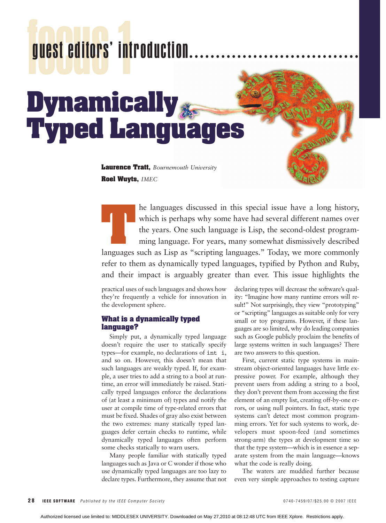focus de la partie de la partie guest editors' introduction

# **Dynamically Typed Languages**

**Laurence Tratt,** *Bournemouth University* **Roel Wuyts,** *IMEC*

**THE LANGE ISSUE CONGLUE 2019 THE LANGE ISSUE OF A LANGE ISSUE OF A LANGE ISSUE OF A LANGE ISSUE OF A LANGUAGE ISSUE OF A LANGUAGE ISSUE OF A LANGUAGE ISSUE OF A LANGUAGE TO THE LANGUAGE SUCH AS LANGUAGE <sup>36</sup> "scripting la** which is perhaps why some have had several different names over the years. One such language is Lisp, the second-oldest programming language. For years, many somewhat dismissively described

languages such as Lisp as "scripting languages." Today, we more commonly refer to them as dynamically typed languages, typified by Python and Ruby, and their impact is arguably greater than ever. This issue highlights the

practical uses of such languages and shows how they're frequently a vehicle for innovation in the development sphere.

#### **What is a dynamically typed language?**

Simply put, a dynamically typed language doesn't require the user to statically specify types—for example, no declarations of int i, and so on. However, this doesn't mean that such languages are weakly typed. If, for example, a user tries to add a string to a bool at runtime, an error will immediately be raised. Statically typed languages enforce the declarations of (at least a minimum of) types and notify the user at compile time of type-related errors that must be fixed. Shades of gray also exist between the two extremes: many statically typed languages defer certain checks to runtime, while dynamically typed languages often perform some checks statically to warn users.

Many people familiar with statically typed languages such as Java or C wonder if those who use dynamically typed languages are too lazy to declare types. Furthermore, they assume that not declaring types will decrease the software's quality: "Imagine how many runtime errors will result!" Not surprisingly, they view "prototyping" or "scripting" languages as suitable only for very small or toy programs. However, if these languages are so limited, why do leading companies such as Google publicly proclaim the benefits of large systems written in such languages? There are two answers to this question.

First, current static type systems in mainstream object-oriented languages have little expressive power. For example, although they prevent users from adding a string to a bool, they don't prevent them from accessing the first element of an empty list, creating off-by-one errors, or using null pointers. In fact, static type systems can't detect most common programming errors. Yet for such systems to work, developers must spoon-feed (and sometimes strong-arm) the types at development time so that the type system—which is in essence a separate system from the main language—knows what the code is really doing.

The waters are muddied further because even very simple approaches to testing capture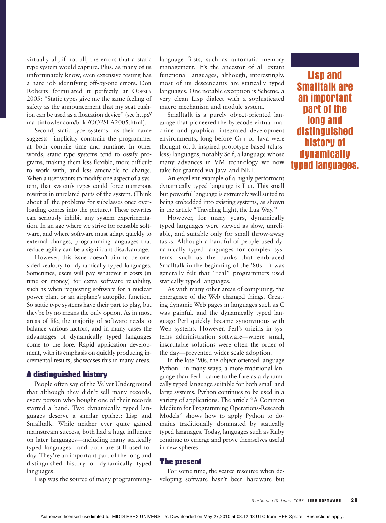virtually all, if not all, the errors that a static type system would capture. Plus, as many of us unfortunately know, even extensive testing has a hard job identifying off-by-one errors. Don Roberts formulated it perfectly at OOPSLA 2005: "Static types give me the same feeling of safety as the announcement that my seat cushion can be used as a floatation device" (see http:// martinfowler.com/bliki/OOPSLA2005.html).

Second, static type systems—as their name suggests—implicitly constrain the programmer at both compile time and runtime. In other words, static type systems tend to ossify programs, making them less flexible, more difficult to work with, and less amenable to change. When a user wants to modify one aspect of a system, that system's types could force numerous rewrites in unrelated parts of the system. (Think about all the problems for subclasses once overloading comes into the picture.) These rewrites can seriously inhibit any system experimentation. In an age where we strive for reusable software, and where software must adapt quickly to external changes, programming languages that reduce agility can be a significant disadvantage.

However, this issue doesn't aim to be onesided zealotry for dynamically typed languages. Sometimes, users will pay whatever it costs (in time or money) for extra software reliability, such as when requesting software for a nuclear power plant or an airplane's autopilot function. So static type systems have their part to play, but they're by no means the only option. As in most areas of life, the majority of software needs to balance various factors, and in many cases the advantages of dynamically typed languages come to the fore. Rapid application development, with its emphasis on quickly producing incremental results, showcases this in many areas.

#### **A distinguished history**

People often say of the Velvet Underground that although they didn't sell many records, every person who bought one of their records started a band. Two dynamically typed languages deserve a similar epithet: Lisp and Smalltalk. While neither ever quite gained mainstream success, both had a huge influence on later languages—including many statically typed languages—and both are still used today. They're an important part of the long and distinguished history of dynamically typed languages.

Lisp was the source of many programming-

language firsts, such as automatic memory management. It's the ancestor of all extant functional languages, although, interestingly, most of its descendants are statically typed languages. One notable exception is Scheme, a very clean Lisp dialect with a sophisticated macro mechanism and module system.

Smalltalk is a purely object-oriented language that pioneered the bytecode virtual machine and graphical integrated development environments, long before C++ or Java were thought of. It inspired prototype-based (classless) languages, notably Self, a language whose many advances in VM technology we now take for granted via Java and.NET.

An excellent example of a highly performant dynamically typed language is Lua. This small but powerful language is extremely well suited to being embedded into existing systems, as shown in the article "Traveling Light, the Lua Way."

However, for many years, dynamically typed languages were viewed as slow, unreliable, and suitable only for small throw-away tasks. Although a handful of people used dynamically typed languages for complex systems—such as the banks that embraced Smalltalk in the beginning of the '80s—it was generally felt that "real" programmers used statically typed languages.

As with many other areas of computing, the emergence of the Web changed things. Creating dynamic Web pages in languages such as C was painful, and the dynamically typed language Perl quickly became synonymous with Web systems. However, Perl's origins in systems administration software—where small, inscrutable solutions were often the order of the day—prevented wider scale adoption.

In the late '90s, the object-oriented language Python—in many ways, a more traditional language than Perl—came to the fore as a dynamically typed language suitable for both small and large systems. Python continues to be used in a variety of applications. The article "A Common Medium for Programming Operations-Research Models" shows how to apply Python to domains traditionally dominated by statically typed languages. Today, languages such as Ruby continue to emerge and prove themselves useful in new spheres.

#### **The present**

For some time, the scarce resource when developing software hasn't been hardware but

**Lisp and Smalltalk are an important part of the long and distinguished history of dynamically typed languages.**